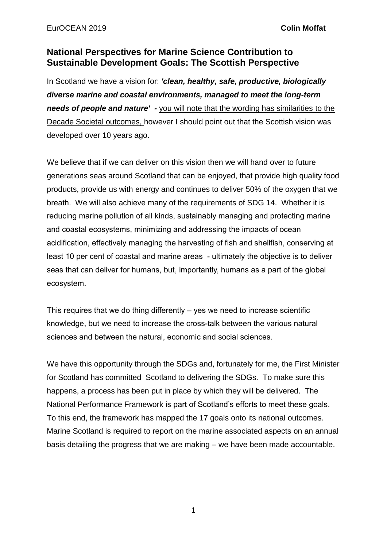## **National Perspectives for Marine Science Contribution to Sustainable Development Goals: The Scottish Perspective**

In Scotland we have a vision for: *'clean, healthy, safe, productive, biologically diverse marine and coastal environments, managed to meet the long-term needs of people and nature' -* you will note that the wording has similarities to the Decade Societal outcomes, however I should point out that the Scottish vision was developed over 10 years ago.

We believe that if we can deliver on this vision then we will hand over to future generations seas around Scotland that can be enjoyed, that provide high quality food products, provide us with energy and continues to deliver 50% of the oxygen that we breath. We will also achieve many of the requirements of SDG 14. Whether it is reducing marine pollution of all kinds, sustainably managing and protecting marine and coastal ecosystems, minimizing and addressing the impacts of ocean acidification, effectively managing the harvesting of fish and shellfish, conserving at least 10 per cent of coastal and marine areas - ultimately the objective is to deliver seas that can deliver for humans, but, importantly, humans as a part of the global ecosystem.

This requires that we do thing differently – yes we need to increase scientific knowledge, but we need to increase the cross-talk between the various natural sciences and between the natural, economic and social sciences.

We have this opportunity through the SDGs and, fortunately for me, the First Minister for Scotland has committed Scotland to delivering the SDGs. To make sure this happens, a process has been put in place by which they will be delivered. The National Performance Framework is part of Scotland's efforts to meet these goals. To this end, the framework has mapped the 17 goals onto its national outcomes. Marine Scotland is required to report on the marine associated aspects on an annual basis detailing the progress that we are making – we have been made accountable.

1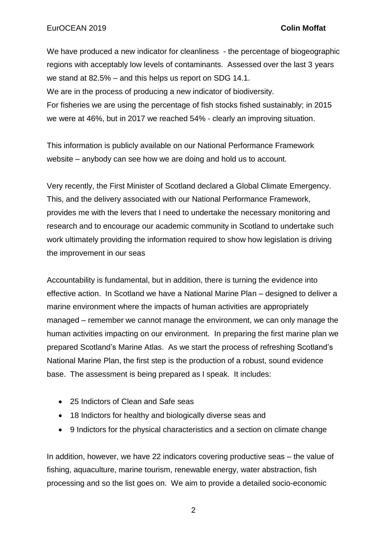We have produced a new indicator for cleanliness - the percentage of biogeographic regions with acceptably low levels of contaminants. Assessed over the last 3 years we stand at 82.5% – and this helps us report on SDG 14.1. We are in the process of producing a new indicator of biodiversity. For fisheries we are using the percentage of fish stocks fished sustainably; in 2015 we were at 46%, but in 2017 we reached 54% - clearly an improving situation.

This information is publicly available on our National Performance Framework website – anybody can see how we are doing and hold us to account.

Very recently, the First Minister of Scotland declared a Global Climate Emergency. This, and the delivery associated with our National Performance Framework, provides me with the levers that I need to undertake the necessary monitoring and research and to encourage our academic community in Scotland to undertake such work ultimately providing the information required to show how legislation is driving the improvement in our seas

Accountability is fundamental, but in addition, there is turning the evidence into effective action. In Scotland we have a National Marine Plan – designed to deliver a marine environment where the impacts of human activities are appropriately managed – remember we cannot manage the environment, we can only manage the human activities impacting on our environment. In preparing the first marine plan we prepared Scotland's Marine Atlas. As we start the process of refreshing Scotland's National Marine Plan, the first step is the production of a robust, sound evidence base. The assessment is being prepared as I speak. It includes:

- 25 Indictors of Clean and Safe seas
- 18 Indictors for healthy and biologically diverse seas and
- 9 Indictors for the physical characteristics and a section on climate change

In addition, however, we have 22 indicators covering productive seas – the value of fishing, aquaculture, marine tourism, renewable energy, water abstraction, fish processing and so the list goes on. We aim to provide a detailed socio-economic

2